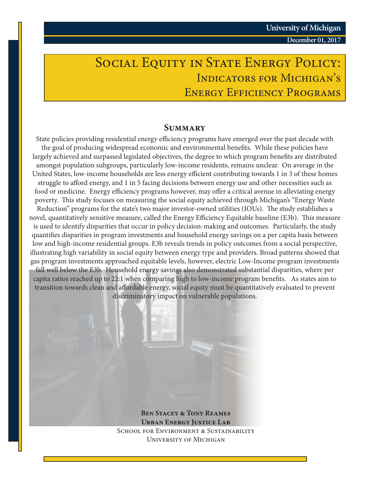## SOCIAL EQUITY IN STATE ENERGY POLICY: Indicators for Michigan's ENERGY EFFICIENCY PROGRAMS

#### **Summary**

State policies providing residential energy efficiency programs have emerged over the past decade with the goal of producing widespread economic and environmental benefits. While these policies have largely achieved and surpassed legislated objectives, the degree to which program benefits are distributed amongst population subgroups, particularly low-income residents, remains unclear. On average in the United States, low-income households are less energy efficient contributing towards 1 in 3 of these homes struggle to afford energy, and 1 in 5 facing decisions between energy use and other necessities such as food or medicine. Energy efficiency programs however, may offer a critical avenue in alleviating energy poverty. This study focuses on measuring the social equity achieved through Michigan's "Energy Waste Reduction" programs for the state's two major investor-owned utilities (IOUs). The study establishes a novel, quantitatively sensitive measure, called the Energy Efficiency Equitable baseline (E3b). This measure is used to identify disparities that occur in policy decision-making and outcomes. Particularly, the study quantifies disparities in program investments and household energy savings on a per capita basis between low and high-income residential groups. E3b reveals trends in policy outcomes from a social perspective, illustrating high variability in social equity between energy type and providers. Broad patterns showed that gas program investments approached equitable levels, however, electric Low-Income program investments fall well below the E3b. Household energy savings also demonstrated substantial disparities, where per capita ratios reached up to 22:1 when comparing high to low-income program benefits. As states aim to transition towards clean and affordable energy, social equity must be quantitatively evaluated to prevent discriminatory impact on vulnerable populations.

> **Ben Stacey & Tony Reames Urban Energy Justice Lab** SCHOOL FOR ENVIRONMENT & SUSTAINABILITY University of Michigan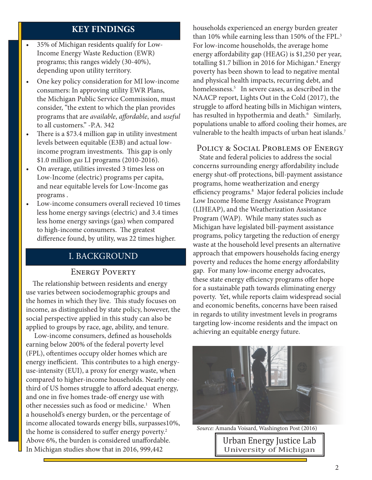## **KEY FINDINGS**

- 35% of Michigan residents qualify for Low-Income Energy Waste Reduction (EWR) programs; this ranges widely (30-40%), depending upon utility territory.
- One key policy consideration for MI low-income consumers: In approving utility EWR Plans, the Michigan Public Service Commission, must consider, "the extent to which the plan provides programs that are *available*, *affordable*, and *useful* to all customers." -P.A. 342
- There is a \$73.4 million gap in utility investment levels between equitable (E3B) and actual lowincome program investments. This gap is only \$1.0 million *gas* LI programs (2010-2016).
- On average, utilities invested 3 times less on Low-Income (electric) programs per capita, and near equitable levels for Low-Income gas programs .
- Low-income consumers overall recieved 10 times less home energy savings (electric) and 3.4 times less home energy savings (gas) when compared to high-income consumers. The greatest difference found, by utility, was 22 times higher.

## I. BACKGROUND

#### ENERGY POVERTY

 The relationship between residents and energy use varies between sociodemographic groups and the homes in which they live. This study focuses on income, as distinguished by state policy, however, the social perspective applied in this study can also be applied to groups by race, age, ability, and tenure.

 Low-income consumers, defined as households earning below 200% of the federal poverty level (FPL), oftentimes occupy older homes which are energy inefficient. This contributes to a high energyuse-intensity (EUI), a proxy for energy waste, when compared to higher-income households. Nearly onethird of US homes struggle to afford adequat energy, and one in five homes trade-off energy use with other necessies such as food or medicine.<sup>1</sup> When a household's energy burden, or the percentage of income allocated towards energy bills, surpasses10%, the home is considered to suffer energy poverty.<sup>2</sup> Above 6%, the burden is considered unaffordable. In Michigan studies show that in 2016, 999,442

households experienced an energy burden greater than 10% while earning less than 150% of the FPL.<sup>3</sup> For low-income households, the average home energy affordability gap (HEAG) is \$1,250 per year, totalling \$1.7 billion in 2016 for Michigan.<sup>4</sup> Energy poverty has been shown to lead to negative mental and physical health impacts, recurring debt, and homelessness.5 In severe cases, as described in the NAACP report, Lights Out in the Cold (2017), the struggle to afford heating bills in Michigan winters, has resulted in hypothermia and death.<sup>6</sup> Similarly, populations unable to afford cooling their homes, are vulnerable to the health impacts of urban heat islands.<sup>7</sup>

#### Policy & Social Problems of Energy

 State and federal policies to address the social concerns surrounding energy affordability include energy shut-off protections, bill-payment assistance programs, home weatherization and energy efficiency programs.8 Major federal policies include Low Income Home Energy Assistance Program (LIHEAP), and the Weatherization Assistance Program (WAP). While many states such as Michigan have legislated bill-payment assistance programs, policy targeting the reduction of energy waste at the household level presents an alternative approach that empowers households facing energy poverty and reduces the home energy affordability gap. For many low-income energy advocates, these state energy efficiency programs offer hope for a sustainable path towards eliminating energy poverty. Yet, while reports claim widespread social and economic benefits, concerns have been raised in regards to utility investment levels in programs targeting low-income residents and the impact on achieving an equitable energy future.



*Source:* Amanda Voisard, Washington Post (2016)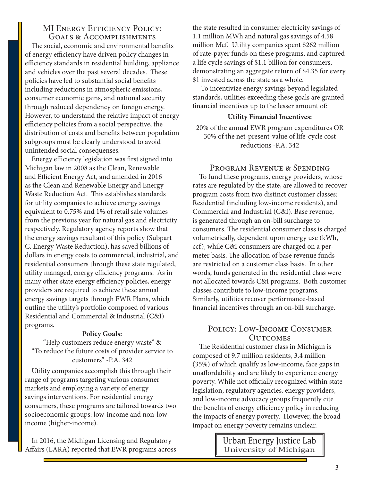#### MI ENERGY EFFICIENCY POLICY: Goals & Accomplishments

 The social, economic and environmental benefits of energy efficiency have driven policy changes in efficiency standards in residential building, appliance and vehicles over the past several decades. These policies have led to substantial social benefits including reductions in atmospheric emissions, consumer economic gains, and national security through reduced dependency on foreign energy. However, to understand the relative impact of energy efficiency policies from a social perspective, the distribution of costs and benefits between population subgroups must be clearly understood to avoid unintended social consequenses.

 Energy efficiency legislation was first signed into Michigan law in 2008 as the Clean, Renewable and Efficient Energy Act, and amended in 2016 as the Clean and Renewable Energy and Energy Waste Reduction Act. This establishes standards for utility companies to achieve energy savings equivalent to 0.75% and 1% of retail sale volumes from the previous year for natural gas and electricity respectively. Regulatory agency reports show that the energy savings resultant of this policy (Subpart C. Energy Waste Reduction), has saved billions of dollars in energy costs to commercial, industrial, and residential consumers through these state regulated, utility managed, energy efficiency programs. As in many other state energy efficiency policies, energy providers are required to achieve these annual energy savings targets through EWR Plans, which outline the utility's portfolio composed of various Residential and Commercial & Industrial (C&I) programs.

#### **Policy Goals:**

"Help customers reduce energy waste" & "To reduce the future costs of provider service to customers" -P.A. 342

 Utility companies accomplish this through their range of programs targeting various consumer markets and employing a variety of energy savings interventions. For residential energy consumers, these programs are tailored towards two socioeconomic groups: low-income and non-lowincome (higher-income).

 In 2016, the Michigan Licensing and Regulatory Affairs (LARA) reported that EWR programs across

the state resulted in consumer electricity savings of 1.1 million MWh and natural gas savings of 4.58 million Mcf. Utility companies spent \$262 million of rate-payer funds on these programs, and captured a life cycle savings of \$1.1 billion for consumers, demonstrating an aggregate return of \$4.35 for every \$1 invested across the state as a whole.

 To incentivize energy savings beyond legislated standards, utilities exceeding these goals are granted financial incentives up to the lesser amount of:

#### **Utility Financial Incentives:**

20% of the annual EWR program expenditures OR 30% of the net-present-value of life-cycle cost reductions -P.A. 342

#### Program Revenue & Spending

 To fund these programs, energy providers, whose rates are regulated by the state, are allowed to recover program costs from two distinct customer classes: Residential (including low-income residents), and Commercial and Industrial (C&I). Base revenue, is generated through an on-bill surcharge to consumers. The residential consumer class is charged volumetrically, dependent upon energy use (kWh, ccf), while C&I consumers are charged on a permeter basis. The allocation of base revenue funds are restricted on a customer class basis. In other words, funds generated in the residential class were not allocated towards C&I programs. Both customer classes contribute to low-income programs. Similarly, utilities recover performance-based financial incentives through an on-bill surcharge.

#### Policy: Low-Income Consumer **OUTCOMES**

 The Residential customer class in Michigan is composed of 9.7 million residents, 3.4 million (35%) of which qualify as low-income, face gaps in unaffordability and are likely to experience energy poverty. While not officially recognized within state legislation, regulatory agencies, energy providers, and low-income advocacy groups frequently cite the benefits of energy efficiency policy in reducing the impacts of energy poverty. However, the broad impact on energy poverty remains unclear.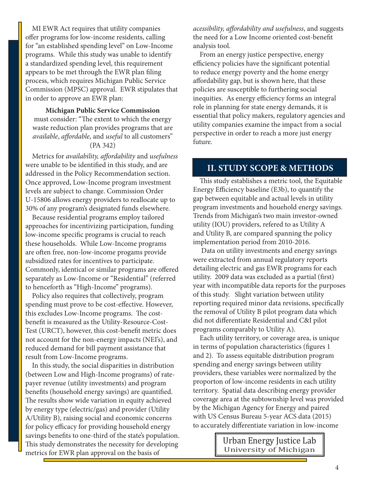MI EWR Act requires that utility companies offer programs for low-income residents, calling for "an established spending level" on Low-Income programs. While this study was unable to identify a standardized spending level, this requirement appears to be met through the EWR plan filing process, which requires Michigan Public Service Commission (MPSC) approval. EWR stipulates that in order to approve an EWR plan:

**Michigan Public Service Commission**  must consider: "The extent to which the energy waste reduction plan provides programs that are *available*, *affordable*, and *useful* to all customers"

#### (PA 342)

 Metrics for *availability, affordability* and *usefulness*  were unable to be identified in this study, and are addressed in the Policy Recommendation section. Once approved, Low-Income program investment levels are subject to change. Commission Order U-15806 allows energy providers to reallocate up to 30% of any program's designated funds elsewhere.

 Because residential programs employ tailored approaches for incentivizing participation, funding low-income specific programs is crucial to reach these households. While Low-Income programs are often free, non-low-income progams provide subsidized rates for incentives to participate. Commonly, identical or similar programs are offered separately as Low-Income or "Residential" (referred to henceforth as "High-Income" programs).

 Policy also requires that collectively, program spending must prove to be cost-effective. However, this excludes Low-Income programs. The costbenefit is measured as the Utility-Resource-Cost-Test (URCT), however, this cost-benefit metric does not account for the non-energy impacts (NEI's), and reduced demand for bill payment assistance that result from Low-Income programs.

 In this study, the social disparities in distribution (between Low and High-Income programs) of ratepayer revenue (utility investments) and program benefits (household energy savings) are quantified. The results show wide variation in equity achieved by energy type (electric/gas) and provider (Utility A/Utility B), raising social and economic concerns for policy efficacy for providing household energy savings benefits to one-third of the state's population. This study demonstrates the necessity for developing metrics for EWR plan approval on the basis of

*acessibility, affordability and usefulness*, and suggests the need for a Low Income oriented cost-benefit analysis tool.

 From an energy justice perspective, energy efficiency policies have the significant potential to reduce energy poverty and the home energy affordability gap, but is shown here, that these policies are susceptible to furthering social inequities. As energy efficiency forms an integral role in planning for state energy demands, it is essential that policy makers, regulatory agencies and utility companies examine the impact from a social perspective in order to reach a more just energy future.

#### **II. STUDY SCOPE & METHODS**

 This study establishes a metric tool, the Equitable Energy Efficiency baseline (E3b), to quantify the gap between equitable and actual levels in utility program investments and houehold energy savings. Trends from Michigan's two main investor-owned utility (IOU) providers, refered to as Utility A and Utility B, are compared spanning the policy implementation period from 2010-2016.

 Data on utility investments and energy savings were extracted from annual regulatory reports detailing electric and gas EWR programs for each utility. 2009 data was excluded as a partial (first) year with incompatible data reports for the purposes of this study. Slight variation between utility reporting required minor data revisions, specifically the removal of Utility B pilot program data which did not differentiate Residential and C&I pilot programs comparably to Utility A).

 Each utility territory, or coverage area, is unique in terms of population characteristics (figures 1 and 2). To assess equitable distribution program spending and energy savings between utility providers, these variables were normalized by the proporton of low-income residents in each utility territory. Spatial data describing energy provider coverage area at the subtownship level was provided by the Michigan Agency for Energy and paired with US Census Bureau 5-year ACS data (2015) to accurately differentiate variation in low-income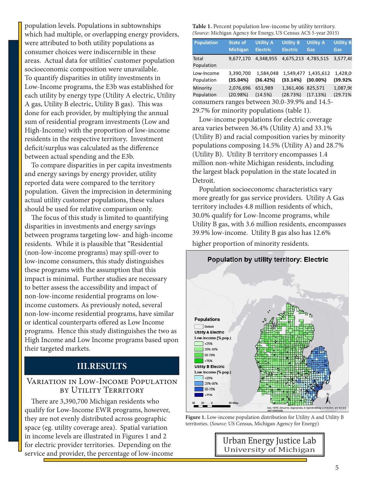population levels. Populations in subtownships which had multiple, or overlapping energy providers, were attributed to both utility populations as consumer choices were indiscernible in these areas. Actual data for utilities' customer population socioeconomic composition were unavailable. To quantify disparities in utility investments in Low-Income programs, the E3b was established for each utility by energy type (Utility A electric, Utility A gas, Utility B electric, Utility B gas). This was done for each provider, by multiplying the annual sum of residential program investments (Low and High-Income) with the proportion of low-income residents in the respective territory. Investment deficit/surplus was calculated as the difference between actual spending and the E3b.

 To compare disparities in per capita investments and energy savings by energy provider, utility reported data were compared to the territory population. Given the imprecision in determining actual utility customer populations, these values should be used for relative comparison only.

 The focus of this study is limited to quantifying disparities in investments and energy savings between programs targeting low- and high-income residents. While it is plausible that "Residential (non-low-income programs) may spill-over to low-income consumers, this study distinguishes these programs with the assumption that this impact is minimal. Further studies are necessary to better assess the accessibility and impact of non-low-income residential programs on lowincome customers. As previously noted, several non-low-income residential programs, have similar or identical counterparts offered as Low Income programs. Hence this study distinguishes the two as High Income and Low Income programs based upon their targeted markets.

## **III.RESULTS**

## Variation in Low-Income Population by Utility Territory

 There are 3,390,700 Michigan residents who qualify for Low-Income EWR programs, however, they are not evenly distributed across geographic space (eg. utility coverage area). Spatial variation in income levels are illustrated in Figures 1 and 2 for electric provider territories. Depending on the service and provider, the percentage of low-income

| Table 1. Percent population low-income by utility territory.    |
|-----------------------------------------------------------------|
| (Source: Michigan Agency for Energy, US Census ACS 5-year 2015) |

| <b>Population</b>                             | <b>State of</b> | <b>Utility A</b> | <b>Utility B</b>    | <b>Utility A</b>    | <b>Utility B</b> |
|-----------------------------------------------|-----------------|------------------|---------------------|---------------------|------------------|
|                                               | <b>Michigan</b> | <b>Electric</b>  | <b>Electric</b>     | Gas                 | Gas              |
| Total<br>Population                           | 9,677,170       | 4,348,955        | 4,675,213 4,785,515 |                     | 3,577,48         |
| Low-Income                                    | 3,390,700       | 1,584,048        | (33.14%)            | 1,549,477 1,435,612 | 1,428,0          |
| Population                                    | (35.04%)        | (36.42%)         |                     | $(30.00\%)$         | (39.92%          |
| Minority                                      | 2,076,696       | 651.989          | 1.361.406 825.571   | (17.13%)            | 1,087,96         |
| Population                                    | (20.98%)        | (14.5%)          | (28.73%)            |                     | (29.71%          |
| consumers ranges between 30.0-39.9% and 14.5- |                 |                  |                     |                     |                  |
| 29.7% for minority populations (table 1).     |                 |                  |                     |                     |                  |

 Low-income populations for electric coverage area varies between 36.4% (Utility A) and 33.1% (Utility B) and racial composition varies by minority populations composing 14.5% (Utility A) and 28.7% (Utility B). Utility B territory encompasses 1.4 million non-white Michigan residents, including the largest black population in the state located in Detroit.

 Population socioeconomc characteristics vary more greatly for gas service providers. Utility A Gas territory includes 4.8 million residents of which, 30.0% qualify for Low-Income programs, while Utility B gas, with 3.6 million residents, encompasses 39.9% low-income. Utility B gas also has 12.6% higher proportion of minority residents.



**Figure 1.** Low-income population distribution for Utility A and Utility B territories. (*Source*: US Census, Michigan Agency for Energy)

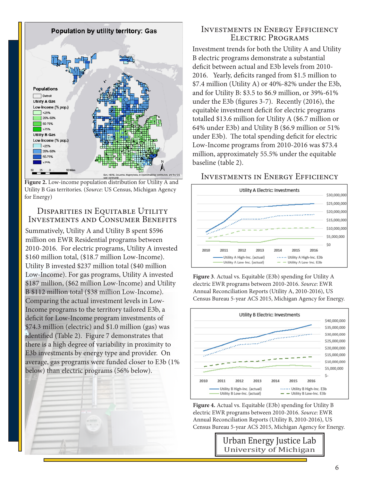

**Figure 2.** Low-income population distribution for Utility A and Utility B Gas territories. (*Source*: US Census, Michigan Agency for Energy)

#### Disparities in Equitable Utility Investments and Consumer Benefits

Summatively, Utility A and Utility B spent \$596 million on EWR Residential programs between 2010-2016. For electric programs, Utility A invested \$160 million total, (\$18.7 million Low-Income). Utility B invested \$237 million total (\$40 million Low-Income). For gas programs, Utility A invested \$187 million, (\$62 million Low-Income) and Utility B \$112 million total (\$38 million Low-Income). Comparing the actual investment levels in Low-Income programs to the territory tailored E3b, a deficit for Low-Income program investments of \$74.3 million (electric) and \$1.0 million (gas) was identified (Table 2). Figure 7 demonstrates that there is a high degree of variability in proximity to E3b investments by energy type and provider. On average, gas programs were funded closer to E3b (1% below) than electric programs (56% below).



## Investments in Energy Efficiency Electric Programs

Investment trends for both the Utility A and Utility B electric programs demonstrate a substantial deficit between actual and E3b levels from 2010- 2016. Yearly, deficits ranged from \$1.5 million to \$7.4 million (Utility A) or 40%-82% under the E3b, and for Utility B: \$3.5 to \$6.9 million, or 39%-61% under the E3b (figures 3-7). Recently (2016), the equitable investment deficit for electric programs totalled \$13.6 million for Utility A (\$6.7 million or 64% under E3b) and Utility B (\$6.9 million or 51% under E3b). The total spending deficit for electric Low-Income programs from 2010-2016 was \$73.4 million, approximately 55.5% under the equitable baseline (table 2).

## Investments in Energy Efficiency



**Figure 3**. Actual vs. Equitable (E3b) spending for Utility A electric EWR programs between 2010-2016. *Source*: EWR Annual Reconciliation Reports (Utility A, 2010-2016), US Census Bureau 5-year ACS 2015, Michigan Agency for Energy.



**Figure 4.** Actual vs. Equitable (E3b) spending for Utility B electric EWR programs between 2010-2016. *Source*: EWR Annual Reconciliation Reports (Utility B, 2010-2016), US Census Bureau 5-year ACS 2015, Michigan Agency for Energy.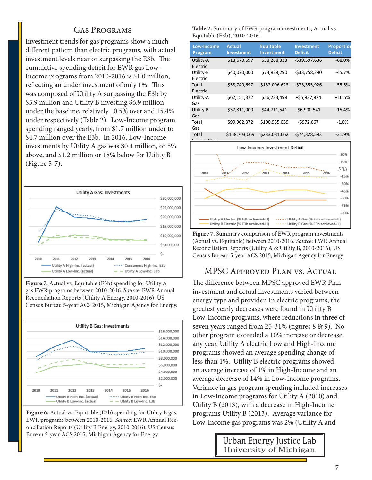## Gas Programs

Investment trends for gas programs show a much different pattern than electric programs, with actual investment levels near or surpassing the E3b. The cumulative spending deficit for EWR gas Low-Income programs from 2010-2016 is \$1.0 million, reflecting an under investment of only 1%. This was composed of Utility A surpassing the E3b by \$5.9 million and Utility B investing \$6.9 million under the baseline, relatively 10.5% over and 15.4% under respectively (Table 2). Low-Income program spending ranged yearly, from \$1.7 million under to \$4.7 million over the E3b. In 2016, Low-Income investments by Utility A gas was \$0.4 million, or 5% above, and \$1.2 million or 18% below for Utility B (Figure 5-7).



**Figure 7.** Actual vs. Equitable (E3b) spending for Utility A gas EWR programs between 2010-2016. *Source*: EWR Annual Reconciliation Reports (Utility A Energy, 2010-2016), US Census Bureau 5-year ACS 2015, Michigan Agency for Energy.



**Figure 6.** Actual vs. Equitable (E3b) spending for Utility B gas EWR programs between 2010-2016. *Source*: EWR Annual Reconciliation Reports (Utility B Energy, 2010-2016), US Census Bureau 5-year ACS 2015, Michigan Agency for Energy.

**Table 2.** Summary of EWR program investments, Actual vs. Equitable (E3b), 2010-2016.

| Low-Income<br>Program | <b>Actual</b><br><b>Investment</b> | <b>Equitable</b><br><b>Investment</b> | <b>Investment</b><br><b>Deficit</b> | Proportion<br><b>Deficit</b> |
|-----------------------|------------------------------------|---------------------------------------|-------------------------------------|------------------------------|
| Utility-A<br>Electric | \$18,670,697                       | \$58,268,333                          | $-539,597,636$                      | $-68.0%$                     |
| Utility-B<br>Electric | \$40,070,000                       | \$73,828,290                          | $-533,758,290$                      | $-45.7%$                     |
| Total<br>Electric     | \$58,740,697                       | \$132,096,623                         | $-573,355,926$                      | $-55.5%$                     |
| Utility-A<br>Gas      | \$62,151,372                       | \$56,223,498                          | +\$5,927,874                        | $+10.5%$                     |
| Utility-B<br>Gas      | \$37,811,000                       | \$44,711,541                          | $-56,900,541$                       | $-15.4%$                     |
| Total<br>Gas          | \$99,962,372                       | \$100,935,039                         | $-5972,667$                         | $-1.0%$                      |
| Total                 | \$158,703,069                      | \$233,031,662                         | $-574,328,593$                      | $-31.9%$                     |



**Figure 7.** Summary comparison of EWR program investments (Actual vs. Equitable) between 2010-2016. *Source*: EWR Annual Reconciliation Reports (Utility A & Utility B, 2010-2016), US Census Bureau 5-year ACS 2015, Michigan Agency for Energy

## MPSC Approved Plan vs. Actual

The difference between MPSC approved EWR Plan investment and actual investments varied between energy type and provider. In electric programs, the greatest yearly decreases were found in Utility B Low-Income programs, where reductions in three of seven years ranged from 25-31% (figures 8 & 9). No other program exceeded a 10% increase or decrease any year. Utility A electric Low and High-Income programs showed an average spending change of less than 1%. Utility B electric programs showed an average increase of 1% in High-Income and an average decrease of 14% in Low-Income programs. Variance in gas program spending included increases in Low-Income programs for Utility A (2010) and Utility B (2013), with a decrease in High-Income programs Utility B (2013). Average variance for Low-Income gas programs was 2% (Utility A and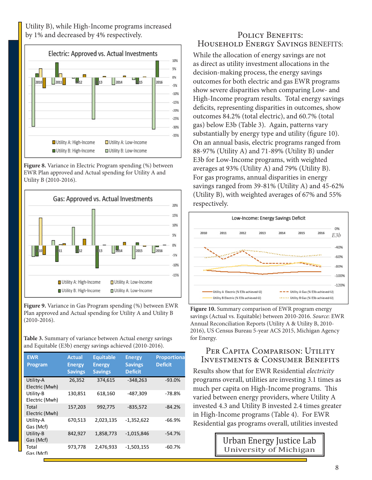Utility B), while High-Income programs increased by 1% and decreased by 4% respectively. POLICY BENEFITS:



**Figure 8.** Variance in Electric Program spending (%) between EWR Plan approved and Actual spending for Utility A and Utility B (2010-2016).



**Figure 9.** Variance in Gas Program spending (%) between EWR Plan approved and Actual spending for Utility A and Utility B (2010-2016).

**Table 3.** Summary of variance between Actual energy savings and Equitable (E3b) energy savings achieved (2010-2016).

| <b>EWR</b><br><b>Program</b> | <b>Actual</b><br><b>Energy</b><br><b>Savings</b> | <b>Equitable</b><br><b>Energy</b><br><b>Savings</b> | <b>Energy</b><br><b>Savings</b><br><b>Deficit</b> | <b>Proportiona</b><br><b>Deficit</b> |
|------------------------------|--------------------------------------------------|-----------------------------------------------------|---------------------------------------------------|--------------------------------------|
| Utility-A<br>Electric (Mwh)  | 26,352                                           | 374,615                                             | $-348,263$                                        | $-93.0%$                             |
| Utility-B<br>Electric (Mwh)  | 130,851                                          | 618,160                                             | -487,309                                          | -78.8%                               |
| Total<br>Electric (Mwh)      | 157,203                                          | 992,775                                             | $-835,572$                                        | $-84.2%$                             |
| Utility-A<br>Gas (Mcf)       | 670,513                                          | 2,023,135                                           | $-1,352,622$                                      | $-66.9%$                             |
| Utility-B<br>Gas (Mcf)       | 842,927                                          | 1,858,773                                           | $-1,015,846$                                      | $-54.7%$                             |
| Total<br>Gas (Mcf)           | 973,778                                          | 2,476,933                                           | $-1,503,155$                                      | $-60.7%$                             |

# Household Energy Savings BENEFITS:

While the allocation of energy savings are not as direct as utility investment allocations in the decision-making process, the energy savings outcomes for both electric and gas EWR programs show severe disparities when comparing Low- and High-Income program results. Total energy savings deficits, representing disparities in outcomes, show outcomes 84.2% (total electric), and 60.7% (total gas) below E3b (Table 3). Again, patterns vary substantially by energy type and utility (figure 10). On an annual basis, electric programs ranged from 88-97% (Utility A) and 71-89% (Utility B) under E3b for Low-Income programs, with weighted averages at 93% (Utility A) and 79% (Utility B). For gas programs, annual disparities in energy savings ranged from 39-81% (Utility A) and 45-62% (Utility B), with weighted averages of 67% and 55% respectively.



**Figure 10.** Summary comparison of EWR program energy savings (Actual vs. Equitable) between 2010-2016. *Source*: EWR Annual Reconciliation Reports (Utility A & Utility B, 2010- 2016), US Census Bureau 5-year ACS 2015, Michigan Agency for Energy.

## PER CAPITA COMPARISON: UTILITY Investments & Consumer Benefits

Results show that for EWR Residential *electricity* programs overall, utilities are investing 3.1 times as much per capita on High-Income programs. This varied between energy providers, where Utility A invested 4.3 and Utility B invested 2.4 times greater in High-Income programs (Table 4). For EWR Residential gas programs overall, utilities invested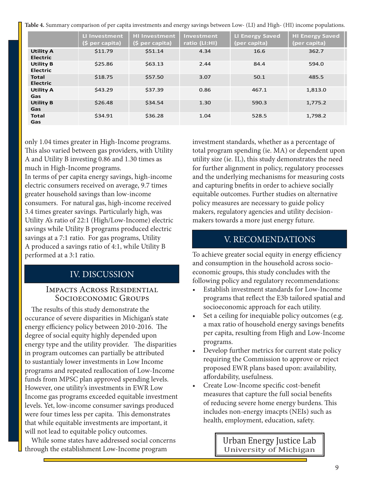**Table 4.** Summary comparison of per capita investments and energy savings between Low- (LI) and High- (HI) income populations.

|                                     | <b>LI Investment</b><br>(\$ per capita) | <b>HI Investment</b><br>(\$ per capita) | Investment<br>ratio (LI:HI) | <b>LI Energy Saved</b><br>(per capita) | <b>HI Energy Saved</b><br>(per capita) |
|-------------------------------------|-----------------------------------------|-----------------------------------------|-----------------------------|----------------------------------------|----------------------------------------|
| <b>Utility A</b><br><b>Electric</b> | \$11.79                                 | \$51.14                                 | 4.34                        | 16.6                                   | 362.7                                  |
| <b>Utility B</b><br><b>Electric</b> | \$25.86                                 | \$63.13                                 | 2.44                        | 84.4                                   | 594.0                                  |
| <b>Total</b><br><b>Electric</b>     | \$18.75                                 | \$57.50                                 | 3.07                        | 50.1                                   | 485.5                                  |
| <b>Utility A</b><br><b>Gas</b>      | \$43.29                                 | \$37.39                                 | 0.86                        | 467.1                                  | 1,813.0                                |
| <b>Utility B</b><br>Gas             | \$26.48                                 | \$34.54                                 | 1.30                        | 590.3                                  | 1,775.2                                |
| <b>Total</b><br>Gas                 | \$34.91                                 | \$36.28                                 | 1.04                        | 528.5                                  | 1,798.2                                |

only 1.04 times greater in High-Income programs. This also varied between gas providers, with Utility A and Utility B investing 0.86 and 1.30 times as much in High-Income programs.

In terms of per capita energy savings, high-income electric consumers received on average, 9.7 times greater household savings than low-income consumers. For natural gas, high-income received 3.4 times greater savings. Particularly high, was Utility A's ratio of 22:1 (High/Low-Income) electric savings while Utility B programs produced electric savings at a 7:1 ratio. For gas programs, Utility A produced a savings ratio of 4:1, while Utility B performed at a 3:1 ratio.

## IV. DISCUSSION

#### Impacts Across Residential Socioeconomic Groups

 The results of this study demonstrate the occurance of severe disparities in Michigan's state energy efficiency policy between 2010-2016. The degree of social equity highly depended upon energy type and the utility provider. The disparities in program outcomes can partially be attributed to sustantialy lower investments in Low Income programs and repeated reallocation of Low-Income funds from MPSC plan approved spending levels. However, one utility's investments in EWR Low Income gas programs exceeded equitable investment levels. Yet, low-income consumer savings produced were four times less per capita. This demonstrates that while equitable investments are important, it will not lead to equitable policy outcomes.

 While some states have addressed social concerns through the establishment Low-Income program

investment standards, whether as a percentage of total program spending (ie. MA) or dependent upon utility size (ie. IL), this study demonstrates the need for further alignment in policy, regulatory processes and the underlying mechanisms for measuring costs and capturing bnefits in order to achieve socially equitable outcomes. Further studies on alternative policy measures are necessary to guide policy makers, regulatory agencies and utility decisionmakers towards a more just energy future.

## V. RECOMENDATIONS

To achieve greater social equity in energy efficiency and consumption in the household across socioeconomic groups, this study concludes with the following policy and regulatory recommendations:

- Establish investment standards for Low-Income programs that reflect the E3b tailored spatial and socioeconomic approach for each utility.
- Set a ceiling for inequiable policy outcomes (e.g. a max ratio of household energy savings benefits per capita, resulting from High and Low-Income programs.
- Develop further metrics for current state policy requiring the Commission to approve or reject proposed EWR plans based upon: availability, affordability, usefulness.
- Create Low-Income specific cost-benefit measures that capture the full social benefits of reducing severe home energy burdens. This includes non-energy imacpts (NEIs) such as health, employment, education, safety.